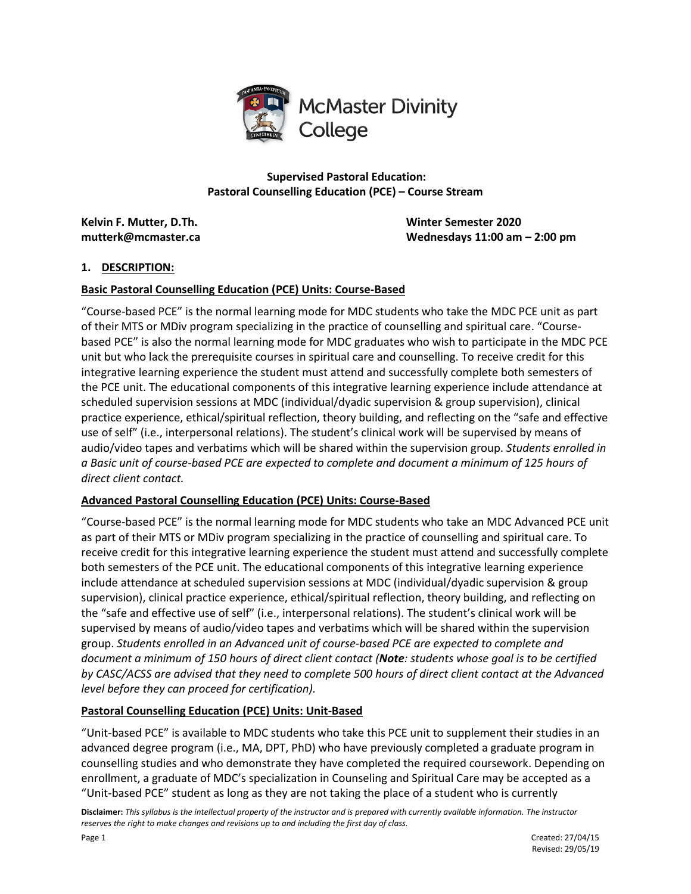

**Supervised Pastoral Education: Pastoral Counselling Education (PCE) – Course Stream**

**Kelvin F. Mutter, D.Th. Winter Semester 2020**

**mutterk@mcmaster.ca Wednesdays 11:00 am – 2:00 pm**

### **1. DESCRIPTION:**

#### **Basic Pastoral Counselling Education (PCE) Units: Course-Based**

"Course-based PCE" is the normal learning mode for MDC students who take the MDC PCE unit as part of their MTS or MDiv program specializing in the practice of counselling and spiritual care. "Coursebased PCE" is also the normal learning mode for MDC graduates who wish to participate in the MDC PCE unit but who lack the prerequisite courses in spiritual care and counselling. To receive credit for this integrative learning experience the student must attend and successfully complete both semesters of the PCE unit. The educational components of this integrative learning experience include attendance at scheduled supervision sessions at MDC (individual/dyadic supervision & group supervision), clinical practice experience, ethical/spiritual reflection, theory building, and reflecting on the "safe and effective use of self" (i.e., interpersonal relations). The student's clinical work will be supervised by means of audio/video tapes and verbatims which will be shared within the supervision group. *Students enrolled in a Basic unit of course-based PCE are expected to complete and document a minimum of 125 hours of direct client contact.*

#### **Advanced Pastoral Counselling Education (PCE) Units: Course-Based**

"Course-based PCE" is the normal learning mode for MDC students who take an MDC Advanced PCE unit as part of their MTS or MDiv program specializing in the practice of counselling and spiritual care. To receive credit for this integrative learning experience the student must attend and successfully complete both semesters of the PCE unit. The educational components of this integrative learning experience include attendance at scheduled supervision sessions at MDC (individual/dyadic supervision & group supervision), clinical practice experience, ethical/spiritual reflection, theory building, and reflecting on the "safe and effective use of self" (i.e., interpersonal relations). The student's clinical work will be supervised by means of audio/video tapes and verbatims which will be shared within the supervision group. *Students enrolled in an Advanced unit of course-based PCE are expected to complete and document a minimum of 150 hours of direct client contact (Note: students whose goal is to be certified by CASC/ACSS are advised that they need to complete 500 hours of direct client contact at the Advanced level before they can proceed for certification).* 

## **Pastoral Counselling Education (PCE) Units: Unit-Based**

"Unit-based PCE" is available to MDC students who take this PCE unit to supplement their studies in an advanced degree program (i.e., MA, DPT, PhD) who have previously completed a graduate program in counselling studies and who demonstrate they have completed the required coursework. Depending on enrollment, a graduate of MDC's specialization in Counseling and Spiritual Care may be accepted as a "Unit-based PCE" student as long as they are not taking the place of a student who is currently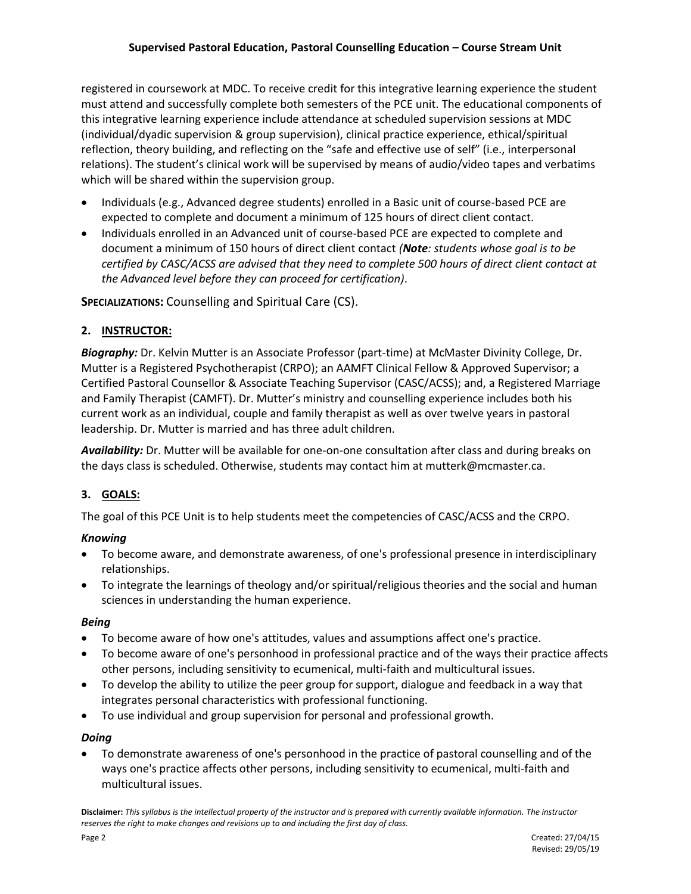registered in coursework at MDC. To receive credit for this integrative learning experience the student must attend and successfully complete both semesters of the PCE unit. The educational components of this integrative learning experience include attendance at scheduled supervision sessions at MDC (individual/dyadic supervision & group supervision), clinical practice experience, ethical/spiritual reflection, theory building, and reflecting on the "safe and effective use of self" (i.e., interpersonal relations). The student's clinical work will be supervised by means of audio/video tapes and verbatims which will be shared within the supervision group.

- Individuals (e.g., Advanced degree students) enrolled in a Basic unit of course-based PCE are expected to complete and document a minimum of 125 hours of direct client contact.
- Individuals enrolled in an Advanced unit of course-based PCE are expected to complete and document a minimum of 150 hours of direct client contact *(Note: students whose goal is to be certified by CASC/ACSS are advised that they need to complete 500 hours of direct client contact at the Advanced level before they can proceed for certification)*.

**SPECIALIZATIONS:** Counselling and Spiritual Care (CS).

# **2. INSTRUCTOR:**

*Biography:* Dr. Kelvin Mutter is an Associate Professor (part-time) at McMaster Divinity College, Dr. Mutter is a Registered Psychotherapist (CRPO); an AAMFT Clinical Fellow & Approved Supervisor; a Certified Pastoral Counsellor & Associate Teaching Supervisor (CASC/ACSS); and, a Registered Marriage and Family Therapist (CAMFT). Dr. Mutter's ministry and counselling experience includes both his current work as an individual, couple and family therapist as well as over twelve years in pastoral leadership. Dr. Mutter is married and has three adult children.

*Availability:* Dr. Mutter will be available for one-on-one consultation after class and during breaks on the days class is scheduled. Otherwise, students may contact him at mutterk@mcmaster.ca.

# **3. GOALS:**

The goal of this PCE Unit is to help students meet the competencies of CASC/ACSS and the CRPO.

## *Knowing*

- To become aware, and demonstrate awareness, of one's professional presence in interdisciplinary relationships.
- To integrate the learnings of theology and/or spiritual/religious theories and the social and human sciences in understanding the human experience.

#### *Being*

- To become aware of how one's attitudes, values and assumptions affect one's practice.
- To become aware of one's personhood in professional practice and of the ways their practice affects other persons, including sensitivity to ecumenical, multi-faith and multicultural issues.
- To develop the ability to utilize the peer group for support, dialogue and feedback in a way that integrates personal characteristics with professional functioning.
- To use individual and group supervision for personal and professional growth.

## *Doing*

 To demonstrate awareness of one's personhood in the practice of pastoral counselling and of the ways one's practice affects other persons, including sensitivity to ecumenical, multi-faith and multicultural issues.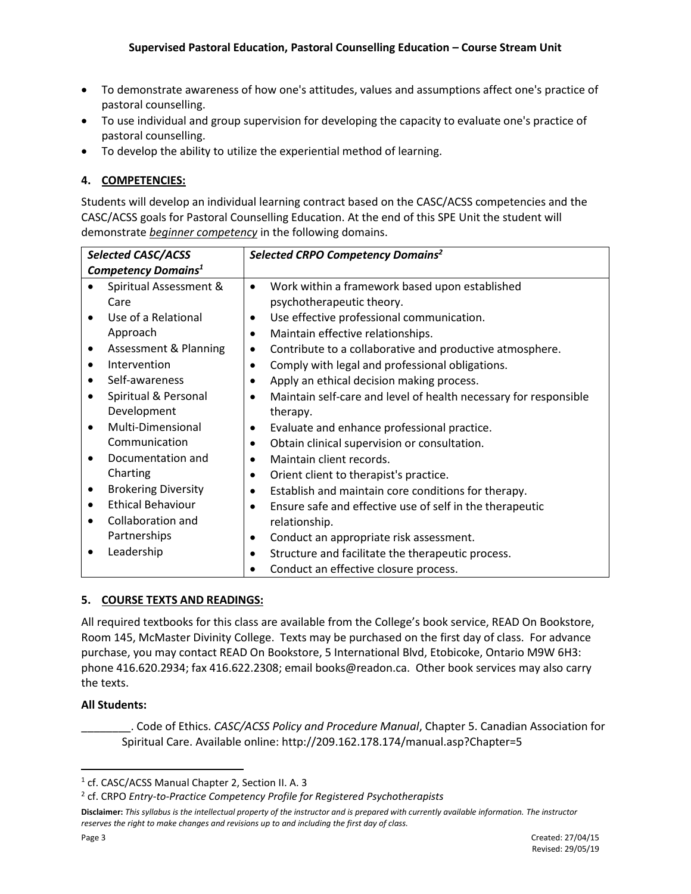- To demonstrate awareness of how one's attitudes, values and assumptions affect one's practice of pastoral counselling.
- To use individual and group supervision for developing the capacity to evaluate one's practice of pastoral counselling.
- To develop the ability to utilize the experiential method of learning.

### **4. COMPETENCIES:**

Students will develop an individual learning contract based on the CASC/ACSS competencies and the CASC/ACSS goals for Pastoral Counselling Education. At the end of this SPE Unit the student will demonstrate *beginner competency* in the following domains.

| <b>Selected CASC/ACSS</b>       |                            |           | Selected CRPO Competency Domains <sup>2</sup>                    |  |  |
|---------------------------------|----------------------------|-----------|------------------------------------------------------------------|--|--|
| Competency Domains <sup>1</sup> |                            |           |                                                                  |  |  |
|                                 | Spiritual Assessment &     | $\bullet$ | Work within a framework based upon established                   |  |  |
|                                 | Care                       |           | psychotherapeutic theory.                                        |  |  |
|                                 | Use of a Relational        | ٠         | Use effective professional communication.                        |  |  |
|                                 | Approach                   | $\bullet$ | Maintain effective relationships.                                |  |  |
| ٠                               | Assessment & Planning      | ٠         | Contribute to a collaborative and productive atmosphere.         |  |  |
| $\bullet$                       | Intervention               | ٠         | Comply with legal and professional obligations.                  |  |  |
| $\bullet$                       | Self-awareness             | $\bullet$ | Apply an ethical decision making process.                        |  |  |
|                                 | Spiritual & Personal       | ٠         | Maintain self-care and level of health necessary for responsible |  |  |
|                                 | Development                |           | therapy.                                                         |  |  |
|                                 | Multi-Dimensional          | $\bullet$ | Evaluate and enhance professional practice.                      |  |  |
|                                 | Communication              | $\bullet$ | Obtain clinical supervision or consultation.                     |  |  |
|                                 | Documentation and          | $\bullet$ | Maintain client records.                                         |  |  |
|                                 | Charting                   | $\bullet$ | Orient client to therapist's practice.                           |  |  |
| ٠                               | <b>Brokering Diversity</b> | ٠         | Establish and maintain core conditions for therapy.              |  |  |
| $\bullet$                       | <b>Ethical Behaviour</b>   | ٠         | Ensure safe and effective use of self in the therapeutic         |  |  |
|                                 | Collaboration and          |           | relationship.                                                    |  |  |
|                                 | Partnerships               | $\bullet$ | Conduct an appropriate risk assessment.                          |  |  |
|                                 | Leadership                 | ٠         | Structure and facilitate the therapeutic process.                |  |  |
|                                 |                            | ٠         | Conduct an effective closure process.                            |  |  |

## **5. COURSE TEXTS AND READINGS:**

All required textbooks for this class are available from the College's book service, READ On Bookstore, Room 145, McMaster Divinity College. Texts may be purchased on the first day of class. For advance purchase, you may contact READ On Bookstore, 5 International Blvd, Etobicoke, Ontario M9W 6H3: phone 416.620.2934; fax 416.622.2308; email books@readon.ca. Other book services may also carry the texts.

#### **All Students:**

\_\_\_\_\_\_\_\_. Code of Ethics. *CASC/ACSS Policy and Procedure Manual*, Chapter 5. Canadian Association for Spiritual Care. Available online: http://209.162.178.174/manual.asp?Chapter=5

 $\overline{\phantom{a}}$ 

<sup>&</sup>lt;sup>1</sup> cf. CASC/ACSS Manual Chapter 2, Section II. A. 3

<sup>2</sup> cf. CRPO *Entry-to-Practice Competency Profile for Registered Psychotherapists*

**Disclaimer:** *This syllabus is the intellectual property of the instructor and is prepared with currently available information. The instructor reserves the right to make changes and revisions up to and including the first day of class.*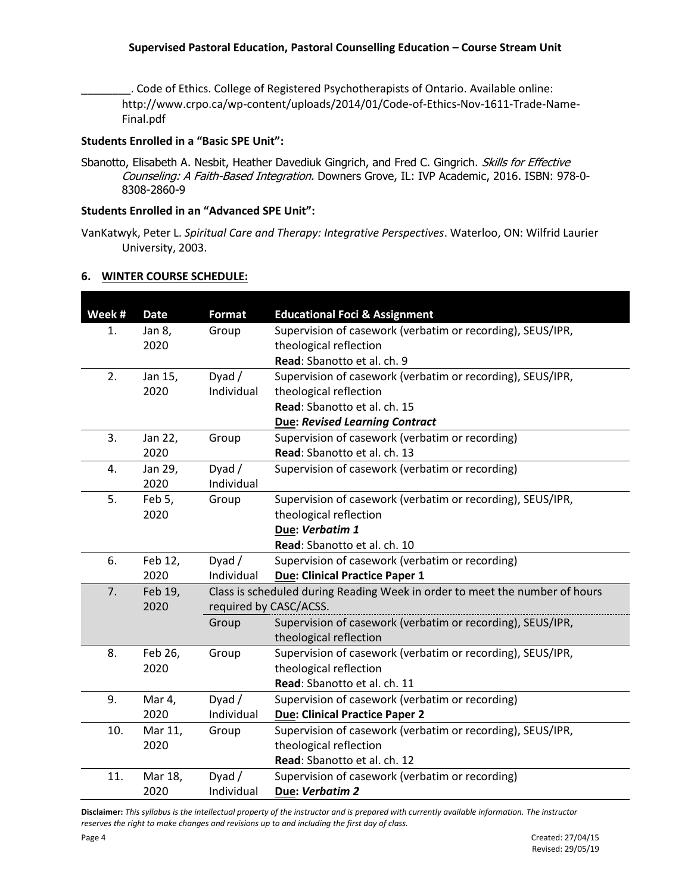\_\_\_\_\_\_\_\_. Code of Ethics. College of Registered Psychotherapists of Ontario. Available online: http://www.crpo.ca/wp-content/uploads/2014/01/Code-of-Ethics-Nov-1611-Trade-Name-Final.pdf

#### **Students Enrolled in a "Basic SPE Unit":**

Sbanotto, Elisabeth A. Nesbit, Heather Davediuk Gingrich, and Fred C. Gingrich. Skills for Effective Counseling: A Faith-Based Integration. Downers Grove, IL: IVP Academic, 2016. ISBN: 978-0- 8308-2860-9

#### **Students Enrolled in an "Advanced SPE Unit":**

VanKatwyk, Peter L. *Spiritual Care and Therapy: Integrative Perspectives*. Waterloo, ON: Wilfrid Laurier University, 2003.

| 6. | <b>WINTER COURSE SCHEDULE:</b> |  |
|----|--------------------------------|--|
|    |                                |  |

| Week # | <b>Date</b>     | <b>Format</b> | <b>Educational Foci &amp; Assignment</b>                                    |
|--------|-----------------|---------------|-----------------------------------------------------------------------------|
| 1.     | Jan 8,          | Group         | Supervision of casework (verbatim or recording), SEUS/IPR,                  |
|        | 2020            |               | theological reflection                                                      |
|        |                 |               | Read: Sbanotto et al. ch. 9                                                 |
| 2.     | Jan 15,         | Dyad /        | Supervision of casework (verbatim or recording), SEUS/IPR,                  |
|        | 2020            | Individual    | theological reflection                                                      |
|        |                 |               | Read: Sbanotto et al. ch. 15                                                |
|        |                 |               | <b>Due: Revised Learning Contract</b>                                       |
| 3.     | Jan 22,         | Group         | Supervision of casework (verbatim or recording)                             |
|        | 2020            |               | Read: Sbanotto et al. ch. 13                                                |
| 4.     | Jan 29,         | Dyad /        | Supervision of casework (verbatim or recording)                             |
|        | 2020            | Individual    |                                                                             |
| 5.     | Feb 5,          | Group         | Supervision of casework (verbatim or recording), SEUS/IPR,                  |
|        | 2020            |               | theological reflection                                                      |
|        |                 |               | Due: Verbatim 1                                                             |
|        |                 |               | Read: Sbanotto et al. ch. 10                                                |
| 6.     | Feb 12,         | Dyad /        | Supervision of casework (verbatim or recording)                             |
|        | 2020            | Individual    | <b>Due: Clinical Practice Paper 1</b>                                       |
| 7.     | Feb 19,<br>2020 |               | Class is scheduled during Reading Week in order to meet the number of hours |
|        |                 |               | required by CASC/ACSS.                                                      |
|        |                 | Group         | Supervision of casework (verbatim or recording), SEUS/IPR,                  |
|        |                 |               | theological reflection                                                      |
| 8.     | Feb 26,         | Group         | Supervision of casework (verbatim or recording), SEUS/IPR,                  |
|        | 2020            |               | theological reflection                                                      |
|        |                 |               | Read: Sbanotto et al. ch. 11                                                |
| 9.     | Mar 4,          | Dyad/         | Supervision of casework (verbatim or recording)                             |
|        | 2020            | Individual    | <b>Due: Clinical Practice Paper 2</b>                                       |
| 10.    | Mar 11,         | Group         | Supervision of casework (verbatim or recording), SEUS/IPR,                  |
|        | 2020            |               | theological reflection                                                      |
|        |                 |               | Read: Sbanotto et al. ch. 12                                                |
| 11.    | Mar 18,         | Dyad $/$      | Supervision of casework (verbatim or recording)                             |
|        | 2020            | Individual    | Due: Verbatim 2                                                             |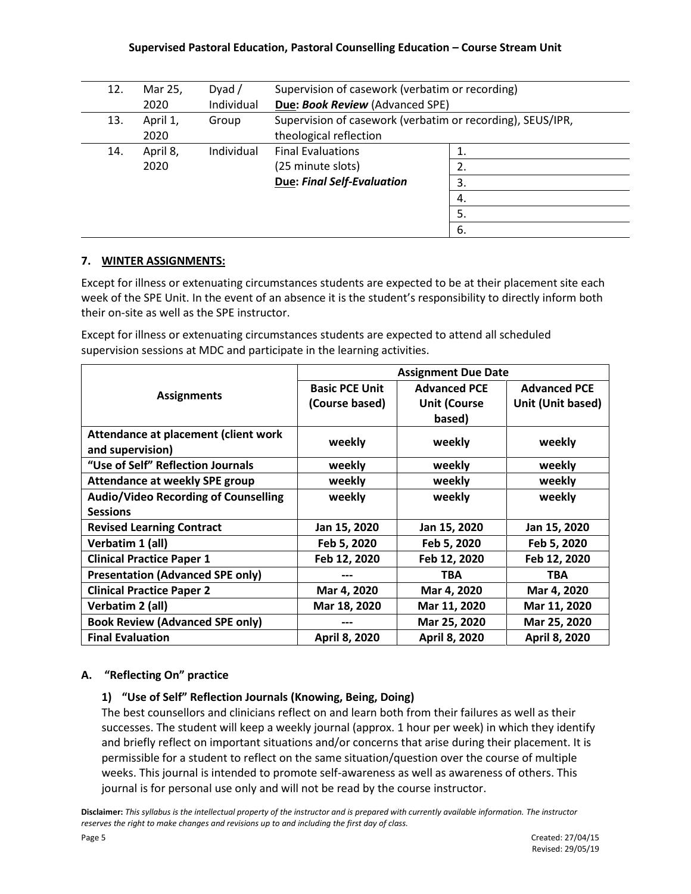#### **Supervised Pastoral Education, Pastoral Counselling Education – Course Stream Unit**

| 12. | Mar 25,          | Dyad $/$   | Supervision of casework (verbatim or recording)                                      |     |
|-----|------------------|------------|--------------------------------------------------------------------------------------|-----|
|     | 2020             | Individual | Due: Book Review (Advanced SPE)                                                      |     |
| 13. | April 1,<br>2020 | Group      | Supervision of casework (verbatim or recording), SEUS/IPR,<br>theological reflection |     |
| 14. | April 8,         | Individual | <b>Final Evaluations</b>                                                             |     |
|     | 2020             |            | (25 minute slots)                                                                    |     |
|     |                  |            | <b>Due: Final Self-Evaluation</b>                                                    | 3.  |
|     |                  |            |                                                                                      | 4.  |
|     |                  |            |                                                                                      | 5.  |
|     |                  |            |                                                                                      | -6. |

## **7. WINTER ASSIGNMENTS:**

Except for illness or extenuating circumstances students are expected to be at their placement site each week of the SPE Unit. In the event of an absence it is the student's responsibility to directly inform both their on-site as well as the SPE instructor.

Except for illness or extenuating circumstances students are expected to attend all scheduled supervision sessions at MDC and participate in the learning activities.

|                                             | <b>Assignment Due Date</b> |                     |                     |  |
|---------------------------------------------|----------------------------|---------------------|---------------------|--|
| <b>Assignments</b>                          | <b>Basic PCE Unit</b>      | <b>Advanced PCE</b> | <b>Advanced PCE</b> |  |
|                                             | (Course based)             | <b>Unit (Course</b> | Unit (Unit based)   |  |
|                                             |                            | based)              |                     |  |
| Attendance at placement (client work        | weekly                     | weekly              | weekly              |  |
| and supervision)                            |                            |                     |                     |  |
| "Use of Self" Reflection Journals           | weekly                     | weekly              | weekly              |  |
| Attendance at weekly SPE group              | weekly                     | weekly              | weekly              |  |
| <b>Audio/Video Recording of Counselling</b> | weekly                     | weekly              | weekly              |  |
| <b>Sessions</b>                             |                            |                     |                     |  |
| <b>Revised Learning Contract</b>            | Jan 15, 2020               | Jan 15, 2020        | Jan 15, 2020        |  |
| Verbatim 1 (all)                            | Feb 5, 2020                | Feb 5, 2020         | Feb 5, 2020         |  |
| <b>Clinical Practice Paper 1</b>            | Feb 12, 2020               | Feb 12, 2020        | Feb 12, 2020        |  |
| <b>Presentation (Advanced SPE only)</b>     |                            | <b>TBA</b>          | <b>TBA</b>          |  |
| <b>Clinical Practice Paper 2</b>            | Mar 4, 2020                | Mar 4, 2020         | Mar 4, 2020         |  |
| Verbatim 2 (all)                            | Mar 18, 2020               | Mar 11, 2020        | Mar 11, 2020        |  |
| <b>Book Review (Advanced SPE only)</b>      |                            | Mar 25, 2020        | Mar 25, 2020        |  |
| <b>Final Evaluation</b>                     | April 8, 2020              | April 8, 2020       | April 8, 2020       |  |

## **A. "Reflecting On" practice**

## **1) "Use of Self" Reflection Journals (Knowing, Being, Doing)**

The best counsellors and clinicians reflect on and learn both from their failures as well as their successes. The student will keep a weekly journal (approx. 1 hour per week) in which they identify and briefly reflect on important situations and/or concerns that arise during their placement. It is permissible for a student to reflect on the same situation/question over the course of multiple weeks. This journal is intended to promote self-awareness as well as awareness of others. This journal is for personal use only and will not be read by the course instructor.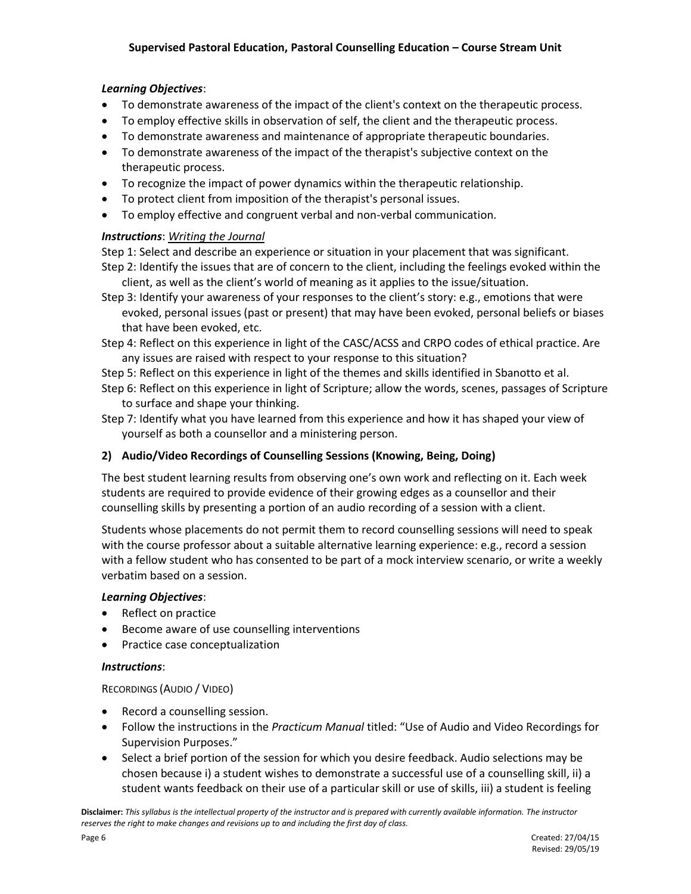# *Learning Objectives*:

- To demonstrate awareness of the impact of the client's context on the therapeutic process.
- To employ effective skills in observation of self, the client and the therapeutic process.
- To demonstrate awareness and maintenance of appropriate therapeutic boundaries.
- To demonstrate awareness of the impact of the therapist's subjective context on the therapeutic process.
- To recognize the impact of power dynamics within the therapeutic relationship.
- To protect client from imposition of the therapist's personal issues.
- To employ effective and congruent verbal and non-verbal communication.

## *Instructions*: *Writing the Journal*

Step 1: Select and describe an experience or situation in your placement that was significant.

- Step 2: Identify the issues that are of concern to the client, including the feelings evoked within the client, as well as the client's world of meaning as it applies to the issue/situation.
- Step 3: Identify your awareness of your responses to the client's story: e.g., emotions that were evoked, personal issues (past or present) that may have been evoked, personal beliefs or biases that have been evoked, etc.
- Step 4: Reflect on this experience in light of the CASC/ACSS and CRPO codes of ethical practice. Are any issues are raised with respect to your response to this situation?
- Step 5: Reflect on this experience in light of the themes and skills identified in Sbanotto et al.
- Step 6: Reflect on this experience in light of Scripture; allow the words, scenes, passages of Scripture to surface and shape your thinking.
- Step 7: Identify what you have learned from this experience and how it has shaped your view of yourself as both a counsellor and a ministering person.

## **2) Audio/Video Recordings of Counselling Sessions (Knowing, Being, Doing)**

The best student learning results from observing one's own work and reflecting on it. Each week students are required to provide evidence of their growing edges as a counsellor and their counselling skills by presenting a portion of an audio recording of a session with a client.

Students whose placements do not permit them to record counselling sessions will need to speak with the course professor about a suitable alternative learning experience: e.g., record a session with a fellow student who has consented to be part of a mock interview scenario, or write a weekly verbatim based on a session.

## *Learning Objectives*:

- Reflect on practice
- Become aware of use counselling interventions
- Practice case conceptualization

## *Instructions*:

## RECORDINGS (AUDIO / VIDEO)

- Record a counselling session.
- Follow the instructions in the *Practicum Manual* titled: "Use of Audio and Video Recordings for Supervision Purposes."
- Select a brief portion of the session for which you desire feedback. Audio selections may be chosen because i) a student wishes to demonstrate a successful use of a counselling skill, ii) a student wants feedback on their use of a particular skill or use of skills, iii) a student is feeling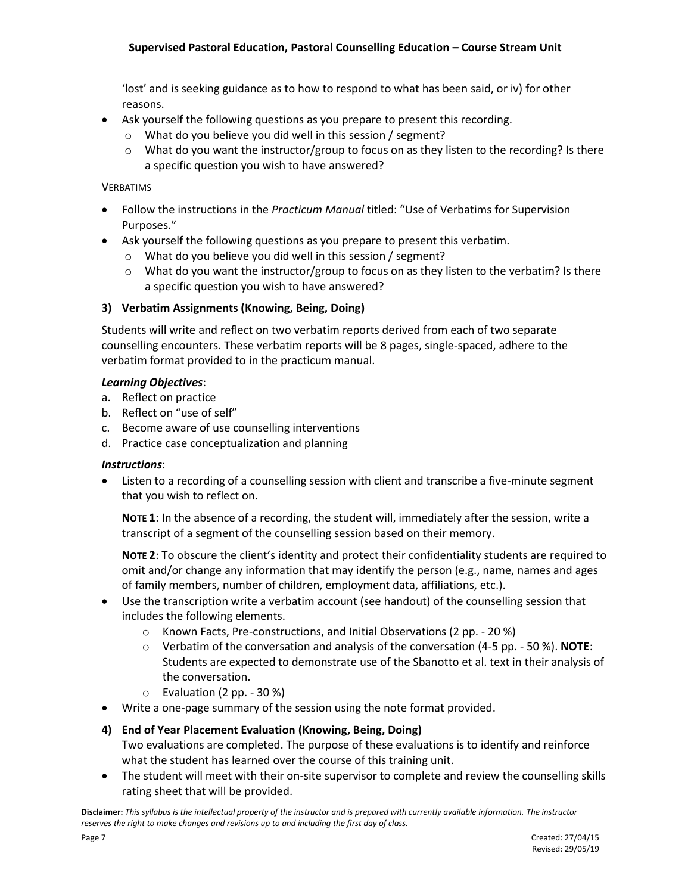### **Supervised Pastoral Education, Pastoral Counselling Education – Course Stream Unit**

'lost' and is seeking guidance as to how to respond to what has been said, or iv) for other reasons.

- Ask yourself the following questions as you prepare to present this recording.
	- o What do you believe you did well in this session / segment?
	- $\circ$  What do you want the instructor/group to focus on as they listen to the recording? Is there a specific question you wish to have answered?

#### VERBATIMS

- Follow the instructions in the *Practicum Manual* titled: "Use of Verbatims for Supervision Purposes."
- Ask yourself the following questions as you prepare to present this verbatim.
	- o What do you believe you did well in this session / segment?
	- $\circ$  What do you want the instructor/group to focus on as they listen to the verbatim? Is there a specific question you wish to have answered?

#### **3) Verbatim Assignments (Knowing, Being, Doing)**

Students will write and reflect on two verbatim reports derived from each of two separate counselling encounters. These verbatim reports will be 8 pages, single-spaced, adhere to the verbatim format provided to in the practicum manual.

#### *Learning Objectives*:

- a. Reflect on practice
- b. Reflect on "use of self"
- c. Become aware of use counselling interventions
- d. Practice case conceptualization and planning

#### *Instructions*:

 Listen to a recording of a counselling session with client and transcribe a five-minute segment that you wish to reflect on.

**NOTE 1**: In the absence of a recording, the student will, immediately after the session, write a transcript of a segment of the counselling session based on their memory.

**NOTE 2**: To obscure the client's identity and protect their confidentiality students are required to omit and/or change any information that may identify the person (e.g., name, names and ages of family members, number of children, employment data, affiliations, etc.).

- Use the transcription write a verbatim account (see handout) of the counselling session that includes the following elements.
	- o Known Facts, Pre-constructions, and Initial Observations (2 pp. 20 %)
	- o Verbatim of the conversation and analysis of the conversation (4-5 pp. 50 %). **NOTE**: Students are expected to demonstrate use of the Sbanotto et al. text in their analysis of the conversation.
	- o Evaluation (2 pp. 30 %)
- Write a one-page summary of the session using the note format provided.

# **4) End of Year Placement Evaluation (Knowing, Being, Doing)**

- Two evaluations are completed. The purpose of these evaluations is to identify and reinforce what the student has learned over the course of this training unit.
- The student will meet with their on-site supervisor to complete and review the counselling skills rating sheet that will be provided.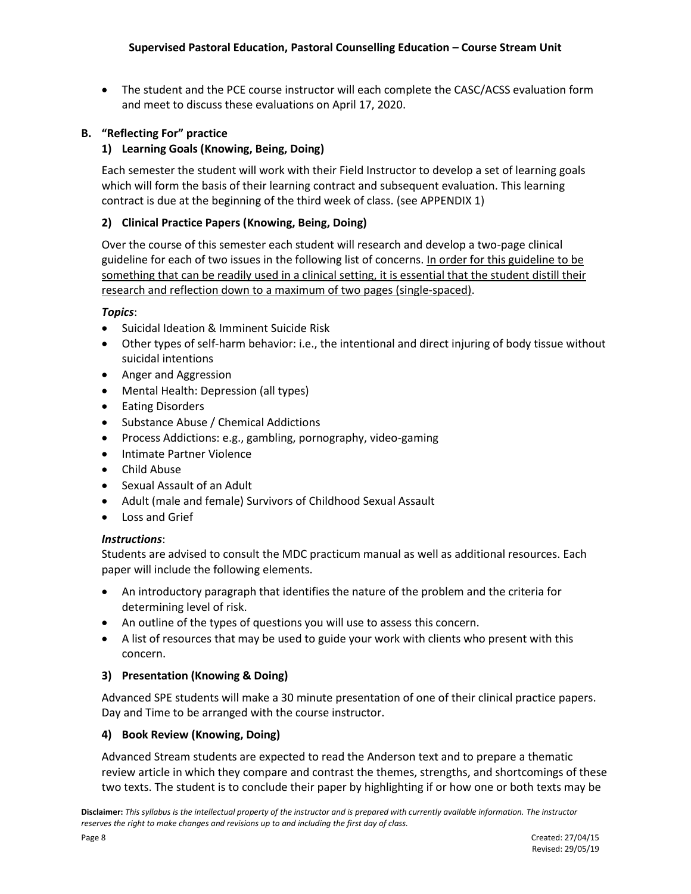• The student and the PCE course instructor will each complete the CASC/ACSS evaluation form and meet to discuss these evaluations on April 17, 2020.

# **B. "Reflecting For" practice**

# **1) Learning Goals (Knowing, Being, Doing)**

Each semester the student will work with their Field Instructor to develop a set of learning goals which will form the basis of their learning contract and subsequent evaluation. This learning contract is due at the beginning of the third week of class. (see APPENDIX 1)

## **2) Clinical Practice Papers (Knowing, Being, Doing)**

Over the course of this semester each student will research and develop a two-page clinical guideline for each of two issues in the following list of concerns. In order for this guideline to be something that can be readily used in a clinical setting, it is essential that the student distill their research and reflection down to a maximum of two pages (single-spaced).

### *Topics*:

- Suicidal Ideation & Imminent Suicide Risk
- Other types of self-harm behavior: i.e., the intentional and direct injuring of body tissue without suicidal intentions
- Anger and Aggression
- Mental Health: Depression (all types)
- Eating Disorders
- Substance Abuse / Chemical Addictions
- Process Addictions: e.g., gambling, pornography, video-gaming
- Intimate Partner Violence
- Child Abuse
- Sexual Assault of an Adult
- Adult (male and female) Survivors of Childhood Sexual Assault
- Loss and Grief

#### *Instructions*:

Students are advised to consult the MDC practicum manual as well as additional resources. Each paper will include the following elements.

- An introductory paragraph that identifies the nature of the problem and the criteria for determining level of risk.
- An outline of the types of questions you will use to assess this concern.
- A list of resources that may be used to guide your work with clients who present with this concern.

## **3) Presentation (Knowing & Doing)**

Advanced SPE students will make a 30 minute presentation of one of their clinical practice papers. Day and Time to be arranged with the course instructor.

#### **4) Book Review (Knowing, Doing)**

Advanced Stream students are expected to read the Anderson text and to prepare a thematic review article in which they compare and contrast the themes, strengths, and shortcomings of these two texts. The student is to conclude their paper by highlighting if or how one or both texts may be